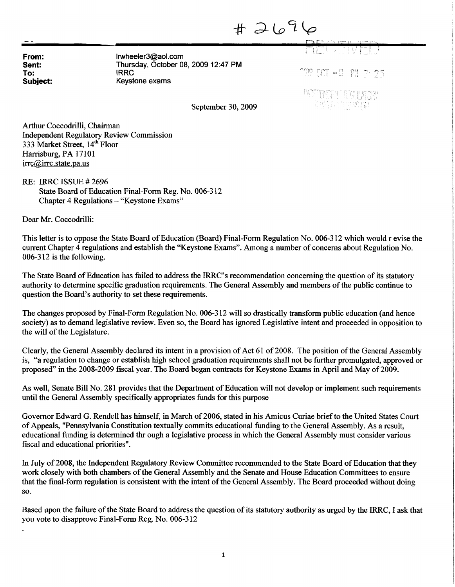$#2696$ 

From: Irwheeler3@aol.com Sent: Thursday, October 08, 2009 12:47 PM To:  $T$  produced the set of  $T$  produced the product  $T$  produced the  $T$   $\mathbb{S}$   $\mathbb{S}$   $\mathbb{S}$   $\mathbb{S}$   $\mathbb{S}$   $\mathbb{S}$   $\mathbb{S}$   $\mathbb{S}$   $\mathbb{S}$   $\mathbb{S}$   $\mathbb{S}$   $\mathbb{S}$   $\mathbb{S}$   $\mathbb{S}$   $\mathbb{S}$   $\mathbb{S}$   $\math$ Keystone exams

DP

September 30, 2009 ^

Arthur Coccodrilli, Chairman Independent Regulatory Review Commission 333 Market Street, 14<sup>th</sup> Floor Harrisburg, PA 17101 irrc@irrc.state.pa.us

RE: IRRC ISSUE # 2696 State Board of Education Final-Form Reg. No. 006-312 Chapter 4 Regulations - "Keystone Exams"

Dear Mr. Coccodrilli:

This letter is to oppose the State Board of Education (Board) Final-Form Regulation No. 006-312 which would r evise the current Chapter 4 regulations and establish the "Keystone Exams". Among a number of concerns about Regulation No. 006-312 is the following.

The State Board of Education has failed to address the IRRC's recommendation concerning the question of its statutory authority to determine specific graduation requirements. The General Assembly and members of the public continue to question the Board's authority to set these requirements.

The changes proposed by Final-Form Regulation No. 006-312 will so drastically transform public education (and hence society) as to demand legislative review. Even so, the Board has ignored Legislative intent and proceeded in opposition to the will of the Legislature.

Clearly, the General Assembly declared its intent in a provision of Act 61 of 2008. The position of the General Assembly is, "a regulation to change or establish high school graduation requirements shall not be further promulgated, approved or proposed" in the 2008-2009 fiscal year. The Board began contracts for Keystone Exams in April and May of 2009.

As well, Senate Bill No. 281 provides that the Department of Education will not develop or implement such requirements until the General Assembly specifically appropriates funds for this purpose

Governor Edward G. Rendell has himself, in March of 2006, stated in his Amicus Curiae brief to the United States Court of Appeals, "Pennsylvania Constitution textually commits educational funding to the General Assembly. As a result, educational funding is determined thr ough a legislative process in which the General Assembly must consider various fiscal and educational priorities".

In July of 2008, the Independent Regulatory Review Committee recommended to the State Board of Education that they work closely with both chambers of the General Assembly and the Senate and House Education Committees to ensure that the final-form regulation is consistent with the intent of the General Assembly. The Board proceeded without doing SO.

Based upon the failure of the State Board to address the question of its statutory authority as urged by the IRRC, I ask that you vote to disapprove Final-Form Reg. No. 006-312